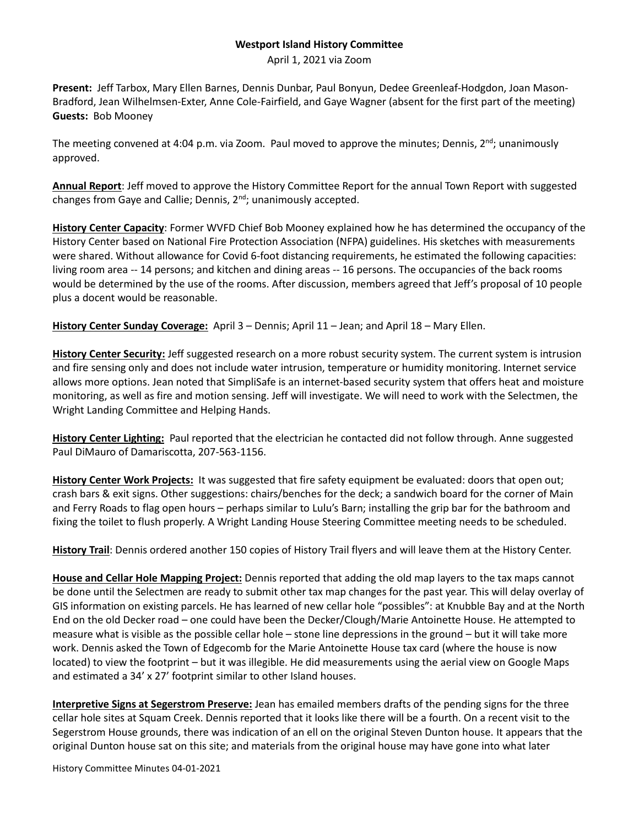## **Westport Island History Committee**

April 1, 2021 via Zoom

**Present:** Jeff Tarbox, Mary Ellen Barnes, Dennis Dunbar, Paul Bonyun, Dedee Greenleaf-Hodgdon, Joan Mason-Bradford, Jean Wilhelmsen-Exter, Anne Cole-Fairfield, and Gaye Wagner (absent for the first part of the meeting) **Guests:** Bob Mooney

The meeting convened at 4:04 p.m. via Zoom. Paul moved to approve the minutes; Dennis, 2<sup>nd</sup>; unanimously approved.

**Annual Report**: Jeff moved to approve the History Committee Report for the annual Town Report with suggested changes from Gaye and Callie; Dennis,  $2<sup>nd</sup>$ ; unanimously accepted.

**History Center Capacity**: Former WVFD Chief Bob Mooney explained how he has determined the occupancy of the History Center based on National Fire Protection Association (NFPA) guidelines. His sketches with measurements were shared. Without allowance for Covid 6-foot distancing requirements, he estimated the following capacities: living room area -- 14 persons; and kitchen and dining areas -- 16 persons. The occupancies of the back rooms would be determined by the use of the rooms. After discussion, members agreed that Jeff's proposal of 10 people plus a docent would be reasonable.

**History Center Sunday Coverage:** April 3 – Dennis; April 11 – Jean; and April 18 – Mary Ellen.

**History Center Security:** Jeff suggested research on a more robust security system. The current system is intrusion and fire sensing only and does not include water intrusion, temperature or humidity monitoring. Internet service allows more options. Jean noted that SimpliSafe is an internet-based security system that offers heat and moisture monitoring, as well as fire and motion sensing. Jeff will investigate. We will need to work with the Selectmen, the Wright Landing Committee and Helping Hands.

**History Center Lighting:** Paul reported that the electrician he contacted did not follow through. Anne suggested Paul DiMauro of Damariscotta, 207-563-1156.

**History Center Work Projects:** It was suggested that fire safety equipment be evaluated: doors that open out; crash bars & exit signs. Other suggestions: chairs/benches for the deck; a sandwich board for the corner of Main and Ferry Roads to flag open hours – perhaps similar to Lulu's Barn; installing the grip bar for the bathroom and fixing the toilet to flush properly. A Wright Landing House Steering Committee meeting needs to be scheduled.

**History Trail**: Dennis ordered another 150 copies of History Trail flyers and will leave them at the History Center.

**House and Cellar Hole Mapping Project:** Dennis reported that adding the old map layers to the tax maps cannot be done until the Selectmen are ready to submit other tax map changes for the past year. This will delay overlay of GIS information on existing parcels. He has learned of new cellar hole "possibles": at Knubble Bay and at the North End on the old Decker road – one could have been the Decker/Clough/Marie Antoinette House. He attempted to measure what is visible as the possible cellar hole – stone line depressions in the ground – but it will take more work. Dennis asked the Town of Edgecomb for the Marie Antoinette House tax card (where the house is now located) to view the footprint – but it was illegible. He did measurements using the aerial view on Google Maps and estimated a 34' x 27' footprint similar to other Island houses.

**Interpretive Signs at Segerstrom Preserve:** Jean has emailed members drafts of the pending signs for the three cellar hole sites at Squam Creek. Dennis reported that it looks like there will be a fourth. On a recent visit to the Segerstrom House grounds, there was indication of an ell on the original Steven Dunton house. It appears that the original Dunton house sat on this site; and materials from the original house may have gone into what later

History Committee Minutes 04-01-2021